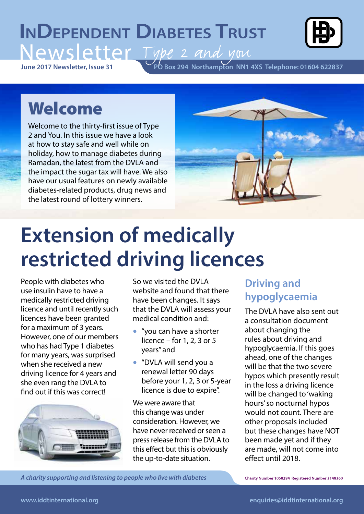# **INDEPENDENT DIABETES TRUST** Type 2 and you



**PO Box 294 Northampton NN1 4XS Telephone: 01604 622837 June 2017 Newsletter, Issue 31**

# Welcome

Welcome to the thirty-first issue of Type 2 and You. In this issue we have a look at how to stay safe and well while on holiday, how to manage diabetes during Ramadan, the latest from the DVLA and the impact the sugar tax will have. We also have our usual features on newly available diabetes-related products, drug news and the latest round of lottery winners.



# **Extension of medically restricted driving licences**

People with diabetes who use insulin have to have a medically restricted driving licence and until recently such licences have been granted for a maximum of 3 years. However, one of our members who has had Type 1 diabetes for many years, was surprised when she received a new driving licence for 4 years and she even rang the DVLA to find out if this was correct!



So we visited the DVLA website and found that there have been changes. It says that the DVLA will assess your medical condition and:

- "you can have a shorter licence – for  $1, 2, 3$  or  $5$ years" and
- "DVLA will send you a renewal letter 90 days before your 1, 2, 3 or 5-year licence is due to expire".

We were aware that this change was under consideration. However, we have never received or seen a press release from the DVLA to this effect but this is obviously the up-to-date situation.

## **Driving and hypoglycaemia**

The DVLA have also sent out a consultation document about changing the rules about driving and hypoglycaemia. If this goes ahead, one of the changes will be that the two severe hypos which presently result in the loss a driving licence will be changed to 'waking hours' so nocturnal hypos would not count. There are other proposals included but these changes have NOT been made yet and if they are made, will not come into effect until 2018.

*A charity supporting and listening to people who live with diabetes A charity supporting and listening to people who live with diabetes A charity supporting and listening to people with diabetes*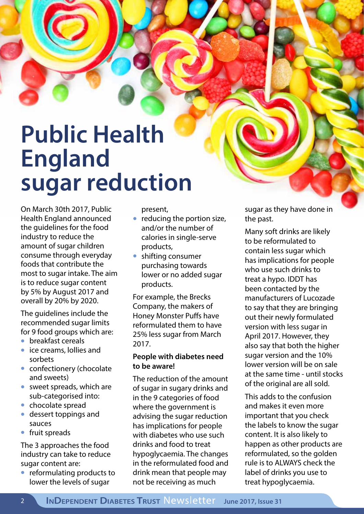# **Public Health England sugar reduction**

On March 30th 2017, Public Health England announced the guidelines for the food industry to reduce the amount of sugar children consume through everyday foods that contribute the most to sugar intake. The aim is to reduce sugar content by 5% by August 2017 and overall by 20% by 2020.

The guidelines include the recommended sugar limits for 9 food groups which are:

- breakfast cereals
- ice creams, lollies and sorbets
- confectionery (chocolate and sweets)
- sweet spreads, which are sub-categorised into:
- chocolate spread
- dessert toppings and sauces
- fruit spreads

The 3 approaches the food industry can take to reduce sugar content are:

• reformulating products to lower the levels of sugar

present,

- reducing the portion size, and/or the number of calories in single-serve products,
- shifting consumer purchasing towards lower or no added sugar products.

For example, the Brecks Company, the makers of Honey Monster Puffs have reformulated them to have 25% less sugar from March 2017.

#### **People with diabetes need to be aware!**

The reduction of the amount of sugar in sugary drinks and in the 9 categories of food where the government is advising the sugar reduction has implications for people with diabetes who use such drinks and food to treat hypoglycaemia. The changes in the reformulated food and drink mean that people may not be receiving as much

sugar as they have done in the past.

Many soft drinks are likely to be reformulated to contain less sugar which has implications for people who use such drinks to treat a hypo. IDDT has been contacted by the manufacturers of Lucozade to say that they are bringing out their newly formulated version with less sugar in April 2017. However, they also say that both the higher sugar version and the 10% lower version will be on sale at the same time - until stocks of the original are all sold.

This adds to the confusion and makes it even more important that you check the labels to know the sugar content. It is also likely to happen as other products are reformulated, so the golden rule is to ALWAYS check the label of drinks you use to treat hypoglycaemia.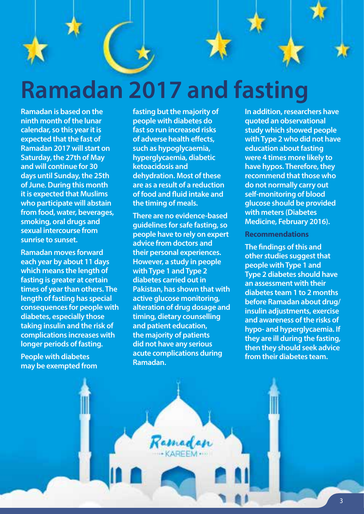

**Ramadan is based on the ninth month of the lunar calendar, so this year it is expected that the fast of Ramadan 2017 will start on Saturday, the 27th of May and will continue for 30 days until Sunday, the 25th of June. During this month it is expected that Muslims who participate will abstain from food, water, beverages, smoking, oral drugs and sexual intercourse from sunrise to sunset.** 

**Ramadan moves forward each year by about 11 days which means the length of fasting is greater at certain times of year than others. The length of fasting has special consequences for people with diabetes, especially those taking insulin and the risk of complications increases with longer periods of fasting.**

**People with diabetes may be exempted from**  **fasting but the majority of people with diabetes do fast so run increased risks of adverse health effects, such as hypoglycaemia, hyperglycaemia, diabetic ketoacidosis and dehydration. Most of these are as a result of a reduction of food and fluid intake and the timing of meals.** 

**There are no evidence-based guidelines for safe fasting, so people have to rely on expert advice from doctors and their personal experiences. However, a study in people with Type 1 and Type 2 diabetes carried out in Pakistan, has shown that with active glucose monitoring, alteration of drug dosage and timing, dietary counselling and patient education, the majority of patients did not have any serious acute complications during Ramadan.** 

**In addition, researchers have quoted an observational study which showed people with Type 2 who did not have education about fasting were 4 times more likely to have hypos. Therefore, they recommend that those who do not normally carry out self-monitoring of blood glucose should be provided with meters (Diabetes Medicine, February 2016).**

#### **Recommendations**

**The findings of this and other studies suggest that people with Type 1 and Type 2 diabetes should have an assessment with their diabetes team 1 to 2 months before Ramadan about drug/ insulin adjustments, exercise and awareness of the risks of hypo- and hyperglycaemia. If they are ill during the fasting, then they should seek advice from their diabetes team.**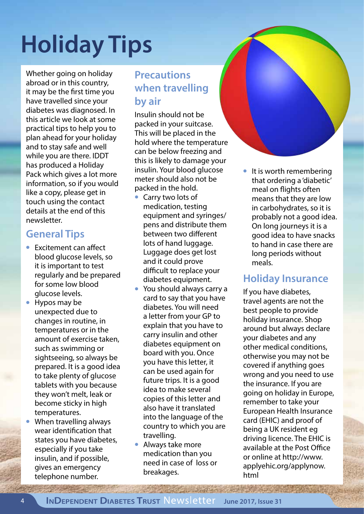# **Holiday Tips**

Whether going on holiday abroad or in this country, it may be the first time you have travelled since your diabetes was diagnosed. In this article we look at some practical tips to help you to plan ahead for your holiday and to stay safe and well while you are there. IDDT has produced a Holiday Pack which gives a lot more information, so if you would like a copy, please get in touch using the contact details at the end of this newsletter.

#### **General Tips**

- Excitement can affect blood glucose levels, so it is important to test regularly and be prepared for some low blood glucose levels.
- Hypos may be unexpected due to changes in routine, in temperatures or in the amount of exercise taken, such as swimming or sightseeing, so always be prepared. It is a good idea to take plenty of glucose tablets with you because they won't melt, leak or become sticky in high temperatures.
- When travelling always wear identification that states you have diabetes, especially if you take insulin, and if possible, gives an emergency telephone number.

## **Precautions when travelling by air**

Insulin should not be packed in your suitcase. This will be placed in the hold where the temperature can be below freezing and this is likely to damage your insulin. Your blood glucose meter should also not be packed in the hold.

- Carry two lots of medication, testing equipment and syringes/ pens and distribute them between two different lots of hand luggage. Luggage does get lost and it could prove difficult to replace your diabetes equipment.
- You should always carry a card to say that you have diabetes. You will need a letter from your GP to explain that you have to carry insulin and other diabetes equipment on board with you. Once you have this letter, it can be used again for future trips. It is a good idea to make several copies of this letter and also have it translated into the language of the country to which you are travelling.
- Always take more medication than you need in case of loss or breakages.

• It is worth remembering that ordering a 'diabetic' meal on flights often means that they are low in carbohydrates, so it is probably not a good idea. On long journeys it is a good idea to have snacks to hand in case there are long periods without meals.

### **Holiday Insurance**

If you have diabetes, travel agents are not the best people to provide holiday insurance. Shop around but always declare your diabetes and any other medical conditions, otherwise you may not be covered if anything goes wrong and you need to use the insurance. If you are going on holiday in Europe, remember to take your European Health Insurance card (EHIC) and proof of being a UK resident eg driving licence. The EHIC is available at the Post Office or online at http://www. applyehic.org/applynow. html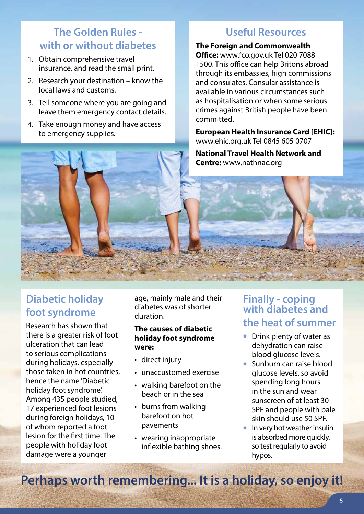## **The Golden Rules with or without diabetes**

- 1. Obtain comprehensive travel insurance, and read the small print.
- 2. Research your destination know the local laws and customs.
- 3. Tell someone where you are going and leave them emergency contact details.
- 4. Take enough money and have access to emergency supplies.

### **Useful Resources**

**The Foreign and Commonwealth Office:** www.fco.gov.uk Tel 020 7088 1500. This office can help Britons abroad through its embassies, high commissions and consulates. Consular assistance is available in various circumstances such as hospitalisation or when some serious crimes against British people have been committed.

**European Health Insurance Card [EHIC]:**  www.ehic.org.uk Tel 0845 605 0707

**National Travel Health Network and Centre:** www.nathnac.org

### **Diabetic holiday foot syndrome**

Research has shown that there is a greater risk of foot ulceration that can lead to serious complications during holidays, especially those taken in hot countries, hence the name 'Diabetic holiday foot syndrome'. Among 435 people studied, 17 experienced foot lesions during foreign holidays, 10 of whom reported a foot lesion for the first time. The people with holiday foot damage were a younger

age, mainly male and their diabetes was of shorter duration.

#### **The causes of diabetic holiday foot syndrome were:**

- direct injury
- unaccustomed exercise
- walking barefoot on the beach or in the sea
- burns from walking barefoot on hot pavements
- wearing inappropriate inflexible bathing shoes.

#### **Finally - coping with diabetes and the heat of summer**

- Drink plenty of water as dehydration can raise blood glucose levels.
- Sunburn can raise blood glucose levels, so avoid spending long hours in the sun and wear sunscreen of at least 30 SPF and people with pale skin should use 50 SPF.
- In very hot weather insulin is absorbed more quickly, so test regularly to avoid hypos.

**Perhaps worth remembering... It is a holiday, so enjoy it!**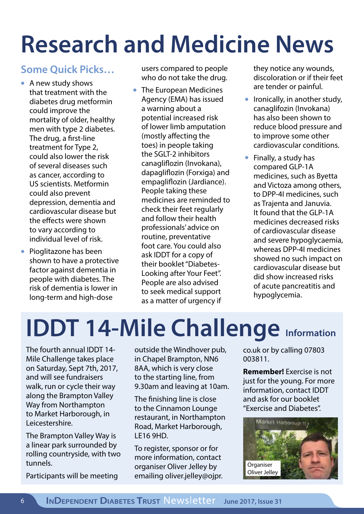# **Research and Medicine News**

## **Some Quick Picks…**

- A new study shows that treatment with the diabetes drug metformin could improve the mortality of older, healthy men with type 2 diabetes. The drug, a first-line treatment for Type 2, could also lower the risk of several diseases such as cancer, according to US scientists. Metformin could also prevent depression, dementia and cardiovascular disease but the effects were shown to vary according to individual level of risk.
- Pioglitazone has been shown to have a protective factor against dementia in people with diabetes. The risk of dementia is lower in long-term and high-dose

users compared to people who do not take the drug.

• The European Medicines Agency (EMA) has issued a warning about a potential increased risk of lower limb amputation (mostly affecting the toes) in people taking the SGLT-2 inhibitors canagliflozin (Invokana), dapagliflozin (Forxiga) and empagliflozin (Jardiance). People taking these medicines are reminded to check their feet regularly and follow their health professionals' advice on routine, preventative foot care. You could also ask IDDT for a copy of their booklet "Diabetes-Looking after Your Feet". People are also advised to seek medical support as a matter of urgency if

they notice any wounds, discoloration or if their feet are tender or painful.

- Ironically, in another study, canaglifozin (Invokana) has also been shown to reduce blood pressure and to improve some other cardiovascular conditions.
- Finally, a study has compared GLP-1A medicines, such as Byetta and Victoza among others, to DPP-4I medicines, such as Trajenta and Januvia. It found that the GLP-1A medicines decreased risks of cardiovascular disease and severe hypoglycaemia, whereas DPP-4I medicines showed no such impact on cardiovascular disease but did show increased risks of acute pancreatitis and hypoglycemia.

# **IDDT 14-Mile Challenge Information**

The fourth annual IDDT 14- Mile Challenge takes place on Saturday, Sept 7th, 2017, and will see fundraisers walk, run or cycle their way along the Brampton Valley Way from Northampton to Market Harborough, in Leicestershire.

The Brampton Valley Way is a linear park surrounded by rolling countryside, with two tunnels.

Participants will be meeting

outside the Windhover pub, in Chapel Brampton, NN6 8AA, which is very close to the starting line, from 9.30am and leaving at 10am.

The finishing line is close to the Cinnamon Lounge restaurant, in Northampton Road, Market Harborough, LE16 9HD.

To register, sponsor or for more information, contact organiser Oliver Jelley by emailing oliver.jelley@ojpr. co.uk or by calling 07803 003811.

**Remember!** Exercise is not just for the young. For more information, contact IDDT and ask for our booklet "Exercise and Diabetes".

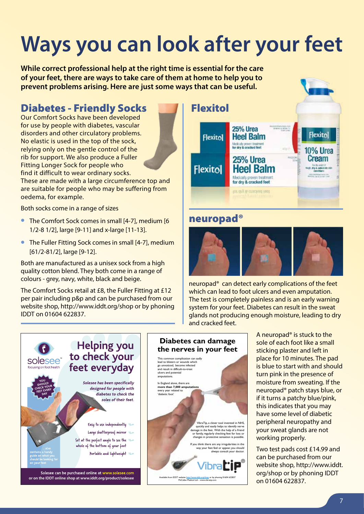# **Ways you can look after your feet**

**While correct professional help at the right time is essential for the care of your feet, there are ways to take care of them at home to help you to prevent problems arising. Here are just some ways that can be useful.**

### Diabetes - Friendly Socks

Our Comfort Socks have been developed for use by people with diabetes, vascular disorders and other circulatory problems. No elastic is used in the top of the sock, relying only on the gentle control of the rib for support. We also produce a Fuller Fitting Longer Sock for people who find it difficult to wear ordinary socks. These are made with a large circumference top and

are suitable for people who may be suffering from oedema, for example.

Both socks come in a range of sizes

- The Comfort Sock comes in small [4-7], medium [6 1/2-8 1/2], large [9-11] and x-large [11-13].
- The Fuller Fitting Sock comes in small [4-7], medium [61/2-81/2], large [9-12].

Both are manufactured as a unisex sock from a high quality cotton blend. They both come in a range of colours - grey, navy, white, black and beige.

The Comfort Socks retail at £8, the Fuller Fitting at £12 per pair including p&p and can be purchased from our website shop, http://www.iddt.org/shop or by phoning IDDT on 01604 622837.





#### neuropad®



neuropad® can detect early complications of the feet which can lead to foot ulcers and even amputation. The test is completely painless and is an early warning system for your feet. Diabetes can result in the sweat glands not producing enough moisture, leading to dry and cracked feet.





A neuropad® is stuck to the sole of each foot like a small sticking plaster and left in place for 10 minutes. The pad is blue to start with and should turn pink in the presence of moisture from sweating. If the neuropad® patch stays blue, or if it turns a patchy blue/pink, this indicates that you may have some level of diabetic peripheral neuropathy and your sweat glands are not working properly.

Two test pads cost £14.99 and can be purchased from our website shop, http://www.iddt. org/shop or by phoning IDDT on 01604 622837.